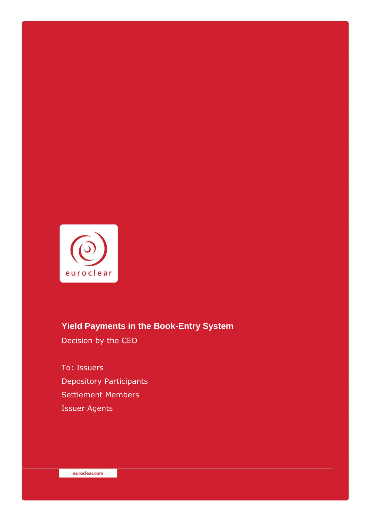

# **Yield Payments in the Book-Entry System**

Decision by the CEO

To: Issuers Depository Participants Settlement Members Issuer Agents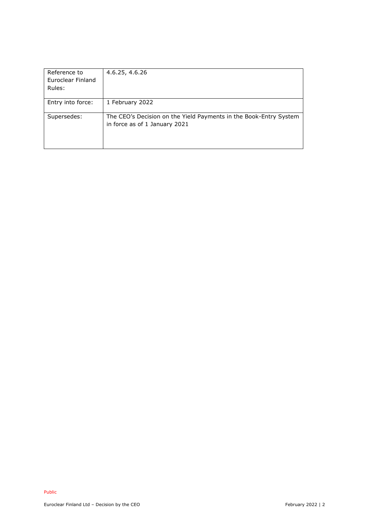| Reference to<br>Euroclear Finland<br>Rules: | 4.6.25, 4.6.26                                                                                     |
|---------------------------------------------|----------------------------------------------------------------------------------------------------|
| Entry into force:                           | 1 February 2022                                                                                    |
| Supersedes:                                 | The CEO's Decision on the Yield Payments in the Book-Entry System<br>in force as of 1 January 2021 |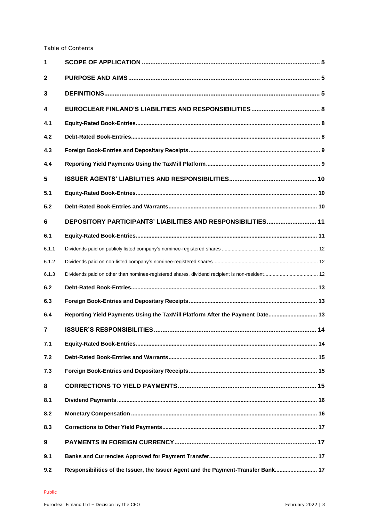#### Table of Contents

| 1              |                                                                                               |  |
|----------------|-----------------------------------------------------------------------------------------------|--|
| $\mathbf{2}$   |                                                                                               |  |
| 3              |                                                                                               |  |
| 4              |                                                                                               |  |
| 4.1            |                                                                                               |  |
| 4.2            |                                                                                               |  |
| 4.3            |                                                                                               |  |
| 4.4            |                                                                                               |  |
| 5              |                                                                                               |  |
| 5.1            |                                                                                               |  |
| 5.2            |                                                                                               |  |
| 6              | DEPOSITORY PARTICIPANTS' LIABILITIES AND RESPONSIBILITIES 11                                  |  |
| 6.1            |                                                                                               |  |
| 6.1.1          |                                                                                               |  |
| 6.1.2          |                                                                                               |  |
| 6.1.3          | Dividends paid on other than nominee-registered shares, dividend recipient is non-resident 12 |  |
| 6.2            |                                                                                               |  |
| 6.3            |                                                                                               |  |
| 6.4            | Reporting Yield Payments Using the TaxMill Platform After the Payment Date 13                 |  |
| $\overline{7}$ |                                                                                               |  |
| 7.1            |                                                                                               |  |
| 7.2            |                                                                                               |  |
| 7.3            |                                                                                               |  |
| 8              |                                                                                               |  |
| 8.1            |                                                                                               |  |
| 8.2            |                                                                                               |  |
| 8.3            |                                                                                               |  |
| 9              |                                                                                               |  |
| 9.1            |                                                                                               |  |
| 9.2            | Responsibilities of the Issuer, the Issuer Agent and the Payment-Transfer Bank 17             |  |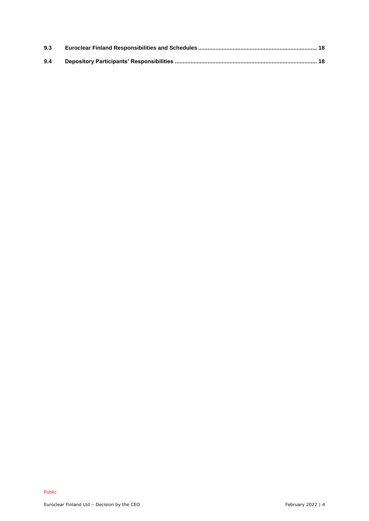| 9.3 |  |
|-----|--|
| 9.4 |  |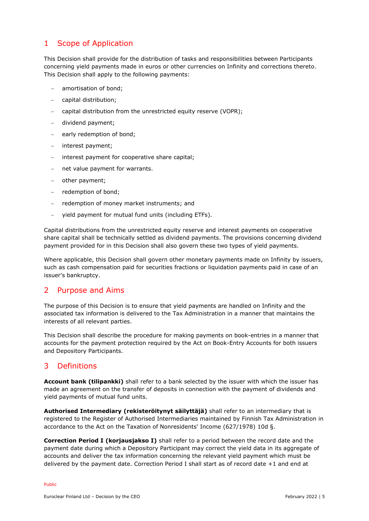### <span id="page-4-0"></span>1 Scope of Application

This Decision shall provide for the distribution of tasks and responsibilities between Participants concerning yield payments made in euros or other currencies on Infinity and corrections thereto. This Decision shall apply to the following payments:

- amortisation of bond;
- capital distribution;
- capital distribution from the unrestricted equity reserve (VOPR);
- dividend payment;
- early redemption of bond;
- interest payment;
- interest payment for cooperative share capital;
- net value payment for warrants.
- other payment;
- redemption of bond;
- redemption of money market instruments; and
- yield payment for mutual fund units (including ETFs).

Capital distributions from the unrestricted equity reserve and interest payments on cooperative share capital shall be technically settled as dividend payments. The provisions concerning dividend payment provided for in this Decision shall also govern these two types of yield payments.

Where applicable, this Decision shall govern other monetary payments made on Infinity by issuers, such as cash compensation paid for securities fractions or liquidation payments paid in case of an issuer's bankruptcy.

#### <span id="page-4-1"></span>2 Purpose and Aims

The purpose of this Decision is to ensure that yield payments are handled on Infinity and the associated tax information is delivered to the Tax Administration in a manner that maintains the interests of all relevant parties.

This Decision shall describe the procedure for making payments on book-entries in a manner that accounts for the payment protection required by the Act on Book-Entry Accounts for both issuers and Depository Participants.

### <span id="page-4-2"></span>3 Definitions

**Account bank (tilipankki)** shall refer to a bank selected by the issuer with which the issuer has made an agreement on the transfer of deposits in connection with the payment of dividends and yield payments of mutual fund units.

**Authorised Intermediary (rekisteröitynyt säilyttäjä)** shall refer to an intermediary that is registered to the Register of Authorised Intermediaries maintained by Finnish Tax Administration in accordance to the Act on the Taxation of Nonresidents' Income (627/1978) 10d §.

**Correction Period I (korjausjakso I)** shall refer to a period between the record date and the payment date during which a Depository Participant may correct the yield data in its aggregate of accounts and deliver the tax information concerning the relevant yield payment which must be delivered by the payment date. Correction Period I shall start as of record date +1 and end at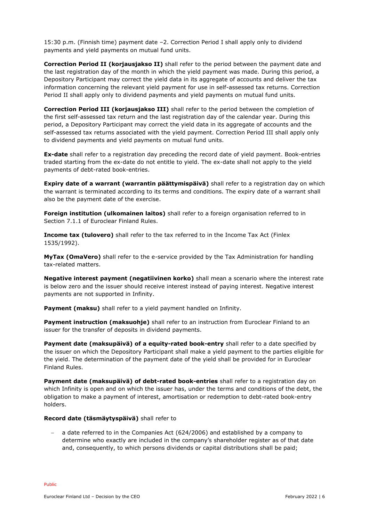15:30 p.m. (Finnish time) payment date –2. Correction Period I shall apply only to dividend payments and yield payments on mutual fund units.

**Correction Period II (korjausjakso II)** shall refer to the period between the payment date and the last registration day of the month in which the yield payment was made. During this period, a Depository Participant may correct the yield data in its aggregate of accounts and deliver the tax information concerning the relevant yield payment for use in self-assessed tax returns. Correction Period II shall apply only to dividend payments and yield payments on mutual fund units.

**Correction Period III (korjausjakso III)** shall refer to the period between the completion of the first self-assessed tax return and the last registration day of the calendar year. During this period, a Depository Participant may correct the yield data in its aggregate of accounts and the self-assessed tax returns associated with the yield payment. Correction Period III shall apply only to dividend payments and yield payments on mutual fund units.

**Ex-date** shall refer to a registration day preceding the record date of yield payment. Book-entries traded starting from the ex-date do not entitle to yield. The ex-date shall not apply to the yield payments of debt-rated book-entries.

**Expiry date of a warrant (warrantin päättymispäivä)** shall refer to a registration day on which the warrant is terminated according to its terms and conditions. The expiry date of a warrant shall also be the payment date of the exercise.

**Foreign institution (ulkomainen laitos)** shall refer to a foreign organisation referred to in Section 7.1.1 of Euroclear Finland Rules.

**Income tax (tulovero)** shall refer to the tax referred to in the Income Tax Act (Finlex 1535/1992).

**MyTax (OmaVero)** shall refer to the e-service provided by the Tax Administration for handling tax-related matters.

**Negative interest payment (negatiivinen korko)** shall mean a scenario where the interest rate is below zero and the issuer should receive interest instead of paying interest. Negative interest payments are not supported in Infinity.

**Payment (maksu)** shall refer to a yield payment handled on Infinity.

**Payment instruction (maksuohje)** shall refer to an instruction from Euroclear Finland to an issuer for the transfer of deposits in dividend payments.

**Payment date (maksupäivä) of a equity-rated book-entry** shall refer to a date specified by the issuer on which the Depository Participant shall make a yield payment to the parties eligible for the yield. The determination of the payment date of the yield shall be provided for in Euroclear Finland Rules.

**Payment date (maksupäivä) of debt-rated book-entries** shall refer to a registration day on which Infinity is open and on which the issuer has, under the terms and conditions of the debt, the obligation to make a payment of interest, amortisation or redemption to debt-rated book-entry holders.

#### **Record date (täsmäytyspäivä)** shall refer to

 a date referred to in the Companies Act (624/2006) and established by a company to determine who exactly are included in the company's shareholder register as of that date and, consequently, to which persons dividends or capital distributions shall be paid;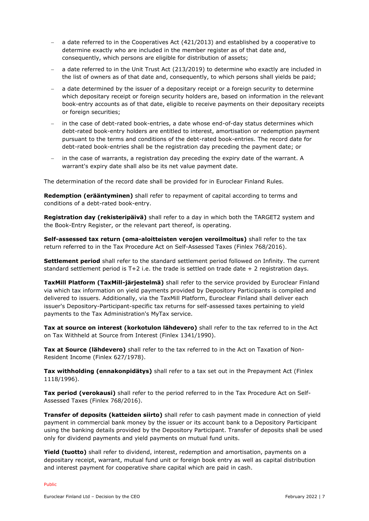- a date referred to in the Cooperatives Act (421/2013) and established by a cooperative to determine exactly who are included in the member register as of that date and, consequently, which persons are eligible for distribution of assets;
- a date referred to in the Unit Trust Act (213/2019) to determine who exactly are included in the list of owners as of that date and, consequently, to which persons shall yields be paid;
- a date determined by the issuer of a depositary receipt or a foreign security to determine which depositary receipt or foreign security holders are, based on information in the relevant book-entry accounts as of that date, eligible to receive payments on their depositary receipts or foreign securities;
- in the case of debt-rated book-entries, a date whose end-of-day status determines which debt-rated book-entry holders are entitled to interest, amortisation or redemption payment pursuant to the terms and conditions of the debt-rated book-entries. The record date for debt-rated book-entries shall be the registration day preceding the payment date; or
- in the case of warrants, a registration day preceding the expiry date of the warrant. A warrant's expiry date shall also be its net value payment date.

The determination of the record date shall be provided for in Euroclear Finland Rules.

**Redemption (erääntyminen)** shall refer to repayment of capital according to terms and conditions of a debt-rated book-entry.

**Registration day (rekisteripäivä)** shall refer to a day in which both the TARGET2 system and the Book-Entry Register, or the relevant part thereof, is operating.

**Self-assessed tax return (oma-aloitteisten verojen veroilmoitus)** shall refer to the tax return referred to in the Tax Procedure Act on Self-Assessed Taxes (Finlex 768/2016).

**Settlement period** shall refer to the standard settlement period followed on Infinity. The current standard settlement period is T+2 i.e. the trade is settled on trade date + 2 registration days.

**TaxMill Platform (TaxMill-järjestelmä)** shall refer to the service provided by Euroclear Finland via which tax information on yield payments provided by Depository Participants is compiled and delivered to issuers. Additionally, via the TaxMill Platform, Euroclear Finland shall deliver each issuer's Depository-Participant-specific tax returns for self-assessed taxes pertaining to yield payments to the Tax Administration's MyTax service.

Tax at source on interest (korkotulon lähdevero) shall refer to the tax referred to in the Act on Tax Withheld at Source from Interest (Finlex 1341/1990).

Tax at Source (lähdevero) shall refer to the tax referred to in the Act on Taxation of Non-Resident Income (Finlex 627/1978).

**Tax withholding (ennakonpidätys)** shall refer to a tax set out in the Prepayment Act (Finlex 1118/1996).

**Tax period (verokausi)** shall refer to the period referred to in the Tax Procedure Act on Self-Assessed Taxes (Finlex 768/2016).

**Transfer of deposits (katteiden siirto)** shall refer to cash payment made in connection of yield payment in commercial bank money by the issuer or its account bank to a Depository Participant using the banking details provided by the Depository Participant. Transfer of deposits shall be used only for dividend payments and yield payments on mutual fund units.

**Yield (tuotto)** shall refer to dividend, interest, redemption and amortisation, payments on a depositary receipt, warrant, mutual fund unit or foreign book entry as well as capital distribution and interest payment for cooperative share capital which are paid in cash.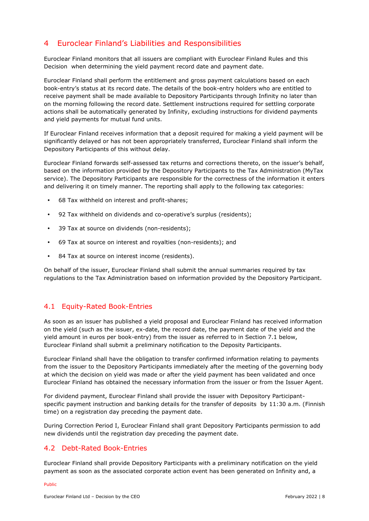### <span id="page-7-0"></span>4 Euroclear Finland's Liabilities and Responsibilities

Euroclear Finland monitors that all issuers are compliant with Euroclear Finland Rules and this Decision when determining the yield payment record date and payment date.

Euroclear Finland shall perform the entitlement and gross payment calculations based on each book-entry's status at its record date. The details of the book-entry holders who are entitled to receive payment shall be made available to Depository Participants through Infinity no later than on the morning following the record date. Settlement instructions required for settling corporate actions shall be automatically generated by Infinity, excluding instructions for dividend payments and yield payments for mutual fund units.

If Euroclear Finland receives information that a deposit required for making a yield payment will be significantly delayed or has not been appropriately transferred, Euroclear Finland shall inform the Depository Participants of this without delay.

Euroclear Finland forwards self-assessed tax returns and corrections thereto, on the issuer's behalf, based on the information provided by the Depository Participants to the Tax Administration (MyTax service). The Depository Participants are responsible for the correctness of the information it enters and delivering it on timely manner. The reporting shall apply to the following tax categories:

- 68 Tax withheld on interest and profit-shares;
- 92 Tax withheld on dividends and co-operative's surplus (residents);
- 39 Tax at source on dividends (non-residents);
- 69 Tax at source on interest and royalties (non-residents); and
- 84 Tax at source on interest income (residents).

On behalf of the issuer, Euroclear Finland shall submit the annual summaries required by tax regulations to the Tax Administration based on information provided by the Depository Participant.

#### <span id="page-7-1"></span>4.1 Equity-Rated Book-Entries

As soon as an issuer has published a yield proposal and Euroclear Finland has received information on the yield (such as the issuer, ex-date, the record date, the payment date of the yield and the yield amount in euros per book-entry) from the issuer as referred to in Section 7.1 below, Euroclear Finland shall submit a preliminary notification to the Deposity Participants.

Euroclear Finland shall have the obligation to transfer confirmed information relating to payments from the issuer to the Depository Participants immediately after the meeting of the governing body at which the decision on yield was made or after the yield payment has been validated and once Euroclear Finland has obtained the necessary information from the issuer or from the Issuer Agent.

For dividend payment, Euroclear Finland shall provide the issuer with Depository Participantspecific payment instruction and banking details for the transfer of deposits by 11:30 a.m. (Finnish time) on a registration day preceding the payment date.

During Correction Period I, Euroclear Finland shall grant Depository Participants permission to add new dividends until the registration day preceding the payment date.

### <span id="page-7-2"></span>4.2 Debt-Rated Book-Entries

Euroclear Finland shall provide Depository Participants with a preliminary notification on the yield payment as soon as the associated corporate action event has been generated on Infinity and, a

#### Public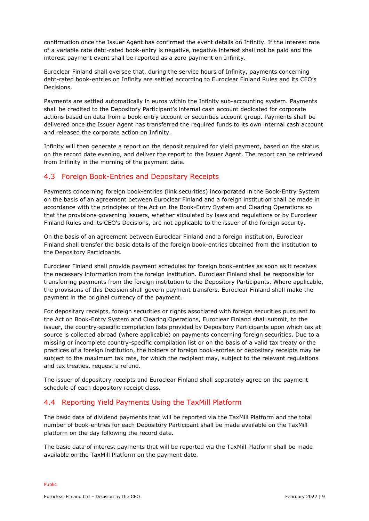confirmation once the Issuer Agent has confirmed the event details on Infinity. If the interest rate of a variable rate debt-rated book-entry is negative, negative interest shall not be paid and the interest payment event shall be reported as a zero payment on Infinity.

Euroclear Finland shall oversee that, during the service hours of Infinity, payments concerning debt-rated book-entries on Infinity are settled according to Euroclear Finland Rules and its CEO's Decisions.

Payments are settled automatically in euros within the Infinity sub-accounting system. Payments shall be credited to the Depository Participant's internal cash account dedicated for corporate actions based on data from a book-entry account or securities account group. Payments shall be delivered once the Issuer Agent has transferred the required funds to its own internal cash account and released the corporate action on Infinity.

Infinity will then generate a report on the deposit required for yield payment, based on the status on the record date evening, and deliver the report to the Issuer Agent. The report can be retrieved from Inifinity in the morning of the payment date.

### <span id="page-8-0"></span>4.3 Foreign Book-Entries and Depositary Receipts

Payments concerning foreign book-entries (link securities) incorporated in the Book-Entry System on the basis of an agreement between Euroclear Finland and a foreign institution shall be made in accordance with the principles of the Act on the Book-Entry System and Clearing Operations so that the provisions governing issuers, whether stipulated by laws and regulations or by Euroclear Finland Rules and its CEO's Decisions, are not applicable to the issuer of the foreign security.

On the basis of an agreement between Euroclear Finland and a foreign institution, Euroclear Finland shall transfer the basic details of the foreign book-entries obtained from the institution to the Depository Participants.

Euroclear Finland shall provide payment schedules for foreign book-entries as soon as it receives the necessary information from the foreign institution. Euroclear Finland shall be responsible for transferring payments from the foreign institution to the Depository Participants. Where applicable, the provisions of this Decision shall govern payment transfers. Euroclear Finland shall make the payment in the original currency of the payment.

For depositary receipts, foreign securities or rights associated with foreign securities pursuant to the Act on Book-Entry System and Clearing Operations, Euroclear Finland shall submit, to the issuer, the country-specific compilation lists provided by Depository Participants upon which tax at source is collected abroad (where applicable) on payments concerning foreign securities. Due to a missing or incomplete country-specific compilation list or on the basis of a valid tax treaty or the practices of a foreign institution, the holders of foreign book-entries or depositary receipts may be subject to the maximum tax rate, for which the recipient may, subject to the relevant regulations and tax treaties, request a refund.

The issuer of depository receipts and Euroclear Finland shall separately agree on the payment schedule of each depository receipt class.

#### <span id="page-8-1"></span>4.4 Reporting Yield Payments Using the TaxMill Platform

The basic data of dividend payments that will be reported via the TaxMill Platform and the total number of book-entries for each Depository Participant shall be made available on the TaxMill platform on the day following the record date.

The basic data of interest payments that will be reported via the TaxMill Platform shall be made available on the TaxMill Platform on the payment date.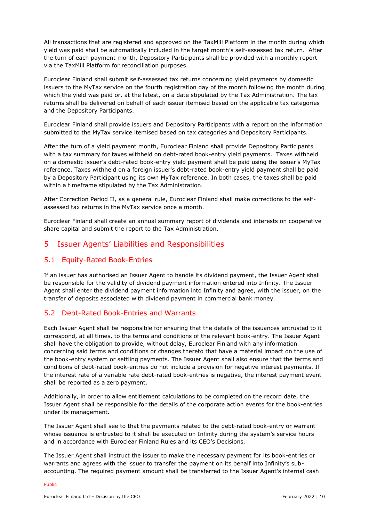All transactions that are registered and approved on the TaxMill Platform in the month during which yield was paid shall be automatically included in the target month's self-assessed tax return. After the turn of each payment month, Depository Participants shall be provided with a monthly report via the TaxMill Platform for reconciliation purposes.

Euroclear Finland shall submit self-assessed tax returns concerning yield payments by domestic issuers to the MyTax service on the fourth registration day of the month following the month during which the yield was paid or, at the latest, on a date stipulated by the Tax Administration. The tax returns shall be delivered on behalf of each issuer itemised based on the applicable tax categories and the Depository Participants.

Euroclear Finland shall provide issuers and Depository Participants with a report on the information submitted to the MyTax service itemised based on tax categories and Depository Participants.

After the turn of a yield payment month, Euroclear Finland shall provide Depository Participants with a tax summary for taxes withheld on debt-rated book-entry yield payments. Taxes withheld on a domestic issuer's debt-rated book-entry yield payment shall be paid using the issuer's MyTax reference. Taxes withheld on a foreign issuer's debt-rated book-entry yield payment shall be paid by a Depository Participant using its own MyTax reference. In both cases, the taxes shall be paid within a timeframe stipulated by the Tax Administration.

After Correction Period II, as a general rule, Euroclear Finland shall make corrections to the selfassessed tax returns in the MyTax service once a month.

Euroclear Finland shall create an annual summary report of dividends and interests on cooperative share capital and submit the report to the Tax Administration.

### <span id="page-9-0"></span>5 Issuer Agents' Liabilities and Responsibilities

#### <span id="page-9-1"></span>5.1 Equity-Rated Book-Entries

If an issuer has authorised an Issuer Agent to handle its dividend payment, the Issuer Agent shall be responsible for the validity of dividend payment information entered into Infinity. The Issuer Agent shall enter the dividend payment information into Infinity and agree, with the issuer, on the transfer of deposits associated with dividend payment in commercial bank money.

#### <span id="page-9-2"></span>5.2 Debt-Rated Book-Entries and Warrants

Each Issuer Agent shall be responsible for ensuring that the details of the issuances entrusted to it correspond, at all times, to the terms and conditions of the relevant book-entry. The Issuer Agent shall have the obligation to provide, without delay, Euroclear Finland with any information concerning said terms and conditions or changes thereto that have a material impact on the use of the book-entry system or settling payments. The Issuer Agent shall also ensure that the terms and conditions of debt-rated book-entries do not include a provision for negative interest payments. If the interest rate of a variable rate debt-rated book-entries is negative, the interest payment event shall be reported as a zero payment.

Additionally, in order to allow entitlement calculations to be completed on the record date, the Issuer Agent shall be responsible for the details of the corporate action events for the book-entries under its management.

The Issuer Agent shall see to that the payments related to the debt-rated book-entry or warrant whose issuance is entrusted to it shall be executed on Infinity during the system's service hours and in accordance with Euroclear Finland Rules and its CEO's Decisions.

The Issuer Agent shall instruct the issuer to make the necessary payment for its book-entries or warrants and agrees with the issuer to transfer the payment on its behalf into Infinity's subaccounting. The required payment amount shall be transferred to the Issuer Agent's internal cash

#### Public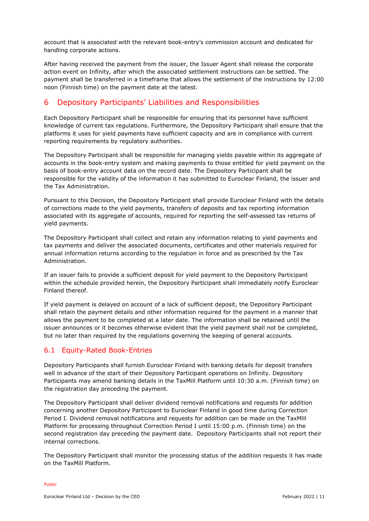account that is associated with the relevant book-entry's commission account and dedicated for handling corporate actions.

After having received the payment from the issuer, the Issuer Agent shall release the corporate action event on Infinity, after which the associated settlement instructions can be settled. The payment shall be transferred in a timeframe that allows the settlement of the instructions by 12:00 noon (Finnish time) on the payment date at the latest.

### <span id="page-10-0"></span>6 Depository Participants' Liabilities and Responsibilities

Each Depository Participant shall be responsible for ensuring that its personnel have sufficient knowledge of current tax regulations. Furthermore, the Depository Participant shall ensure that the platforms it uses for yield payments have sufficient capacity and are in compliance with current reporting requirements by regulatory authorities.

The Depository Participant shall be responsible for managing yields payable within its aggregate of accounts in the book-entry system and making payments to those entitled for yield payment on the basis of book-entry account data on the record date. The Depository Participant shall be responsible for the validity of the information it has submitted to Euroclear Finland, the issuer and the Tax Administration.

Pursuant to this Decision, the Depository Participant shall provide Euroclear Finland with the details of corrections made to the yield payments, transfers of deposits and tax reporting information associated with its aggregate of accounts, required for reporting the self-assessed tax returns of yield payments.

The Depository Participant shall collect and retain any information relating to yield payments and tax payments and deliver the associated documents, certificates and other materials required for annual information returns according to the regulation in force and as prescribed by the Tax Administration.

If an issuer fails to provide a sufficient deposit for yield payment to the Depository Participant within the schedule provided herein, the Depository Participant shall immediately notify Euroclear Finland thereof.

If yield payment is delayed on account of a lack of sufficient deposit, the Depository Participant shall retain the payment details and other information required for the payment in a manner that allows the payment to be completed at a later date. The information shall be retained until the issuer announces or it becomes otherwise evident that the yield payment shall not be completed, but no later than required by the regulations governing the keeping of general accounts.

#### <span id="page-10-1"></span>6.1 Equity-Rated Book-Entries

Depository Participants shall furnish Euroclear Finland with banking details for deposit transfers well in advance of the start of their Depository Participant operations on Infinity. Depository Participants may amend banking details in the TaxMill Platform until 10:30 a.m. (Finnish time) on the registration day preceding the payment.

The Depository Participant shall deliver dividend removal notifications and requests for addition concerning another Depository Participant to Euroclear Finland in good time during Correction Period I. Dividend removal notifications and requests for addition can be made on the TaxMill Platform for processing throughout Correction Period I until 15:00 p.m. (Finnish time) on the second registration day preceding the payment date. Depository Participants shall not report their internal corrections.

The Depository Participant shall monitor the processing status of the addition requests it has made on the TaxMill Platform.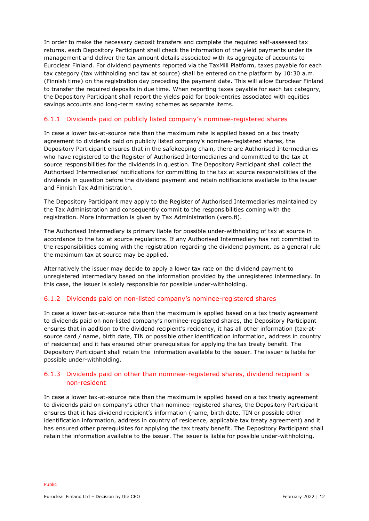In order to make the necessary deposit transfers and complete the required self-assessed tax returns, each Depository Participant shall check the information of the yield payments under its management and deliver the tax amount details associated with its aggregate of accounts to Euroclear Finland. For dividend payments reported via the TaxMill Platform, taxes payable for each tax category (tax withholding and tax at source) shall be entered on the platform by 10:30 a.m. (Finnish time) on the registration day preceding the payment date. This will allow Euroclear Finland to transfer the required deposits in due time. When reporting taxes payable for each tax category, the Depository Participant shall report the yields paid for book-entries associated with equities savings accounts and long-term saving schemes as separate items.

#### <span id="page-11-0"></span>6.1.1 Dividends paid on publicly listed company's nominee-registered shares

In case a lower tax-at-source rate than the maximum rate is applied based on a tax treaty agreement to dividends paid on publicly listed company's nominee-registered shares, the Depository Participant ensures that in the safekeeping chain, there are Authorised Intermediaries who have registered to the Register of Authorised Intermediaries and committed to the tax at source responsibilities for the dividends in question. The Depository Participant shall collect the Authorised Intermediaries' notifications for committing to the tax at source responsibilities of the dividends in question before the dividend payment and retain notifications available to the issuer and Finnish Tax Administration.

The Depository Participant may apply to the Register of Authorised Intermediaries maintained by the Tax Administration and consequently commit to the responsibilities coming with the registration. More information is given by Tax Administration (vero.fi).

The Authorised Intermediary is primary liable for possible under-withholding of tax at source in accordance to the tax at source regulations. If any Authorised Intermediary has not committed to the responsibilities coming with the registration regarding the dividend payment, as a general rule the maximum tax at source may be applied.

Alternatively the issuer may decide to apply a lower tax rate on the dividend payment to unregistered intermediary based on the information provided by the unregistered intermediary. In this case, the issuer is solely responsible for possible under-withholding.

#### <span id="page-11-1"></span>6.1.2 Dividends paid on non-listed company's nominee-registered shares

In case a lower tax-at-source rate than the maximum is applied based on a tax treaty agreement to dividends paid on non-listed company's nominee-registered shares, the Depository Participant ensures that in addition to the dividend recipient's recidency, it has all other information (tax-atsource card / name, birth date, TIN or possible other identification information, address in country of residence) and it has ensured other prerequisites for applying the tax treaty benefit. The Depository Participant shall retain the information available to the issuer. The issuer is liable for possible under-withholding.

#### <span id="page-11-2"></span>6.1.3 Dividends paid on other than nominee-registered shares, dividend recipient is non-resident

In case a lower tax-at-source rate than the maximum is applied based on a tax treaty agreement to dividends paid on company's other than nominee-registered shares, the Depository Participant ensures that it has dividend recipient's information (name, birth date, TIN or possible other identification information, address in country of residence, applicable tax treaty agreement) and it has ensured other prerequisites for applying the tax treaty benefit. The Depository Participant shall retain the information available to the issuer. The issuer is liable for possible under-withholding.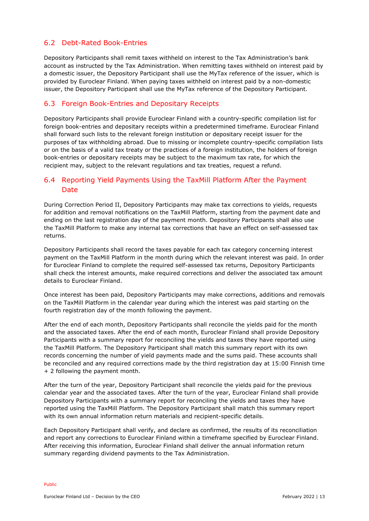### <span id="page-12-0"></span>6.2 Debt-Rated Book-Entries

Depository Participants shall remit taxes withheld on interest to the Tax Administration's bank account as instructed by the Tax Administration. When remitting taxes withheld on interest paid by a domestic issuer, the Depository Participant shall use the MyTax reference of the issuer, which is provided by Euroclear Finland. When paying taxes withheld on interest paid by a non-domestic issuer, the Depository Participant shall use the MyTax reference of the Depository Participant.

### <span id="page-12-1"></span>6.3 Foreign Book-Entries and Depositary Receipts

Depository Participants shall provide Euroclear Finland with a country-specific compilation list for foreign book-entries and depositary receipts within a predetermined timeframe. Euroclear Finland shall forward such lists to the relevant foreign institution or depositary receipt issuer for the purposes of tax withholding abroad. Due to missing or incomplete country-specific compilation lists or on the basis of a valid tax treaty or the practices of a foreign institution, the holders of foreign book-entries or depositary receipts may be subject to the maximum tax rate, for which the recipient may, subject to the relevant regulations and tax treaties, request a refund.

### <span id="page-12-2"></span>6.4 Reporting Yield Payments Using the TaxMill Platform After the Payment Date

During Correction Period II, Depository Participants may make tax corrections to yields, requests for addition and removal notifications on the TaxMill Platform, starting from the payment date and ending on the last registration day of the payment month. Depository Participants shall also use the TaxMill Platform to make any internal tax corrections that have an effect on self-assessed tax returns.

Depository Participants shall record the taxes payable for each tax category concerning interest payment on the TaxMill Platform in the month during which the relevant interest was paid. In order for Euroclear Finland to complete the required self-assessed tax returns, Depository Participants shall check the interest amounts, make required corrections and deliver the associated tax amount details to Euroclear Finland.

Once interest has been paid, Depository Participants may make corrections, additions and removals on the TaxMill Platform in the calendar year during which the interest was paid starting on the fourth registration day of the month following the payment.

After the end of each month, Depository Participants shall reconcile the yields paid for the month and the associated taxes. After the end of each month, Euroclear Finland shall provide Depository Participants with a summary report for reconciling the yields and taxes they have reported using the TaxMill Platform. The Depository Participant shall match this summary report with its own records concerning the number of yield payments made and the sums paid. These accounts shall be reconciled and any required corrections made by the third registration day at 15:00 Finnish time + 2 following the payment month.

After the turn of the year, Depository Participant shall reconcile the yields paid for the previous calendar year and the associated taxes. After the turn of the year, Euroclear Finland shall provide Depository Participants with a summary report for reconciling the yields and taxes they have reported using the TaxMill Platform. The Depository Participant shall match this summary report with its own annual information return materials and recipient-specific details.

Each Depository Participant shall verify, and declare as confirmed, the results of its reconciliation and report any corrections to Euroclear Finland within a timeframe specified by Euroclear Finland. After receiving this information, Euroclear Finland shall deliver the annual information return summary regarding dividend payments to the Tax Administration.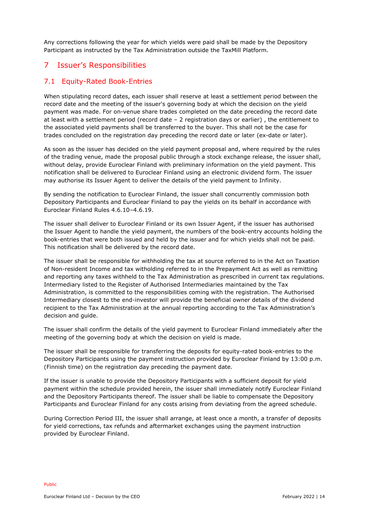Any corrections following the year for which yields were paid shall be made by the Depository Participant as instructed by the Tax Administration outside the TaxMill Platform.

## <span id="page-13-0"></span>7 Issuer's Responsibilities

### <span id="page-13-1"></span>7.1 Equity-Rated Book-Entries

When stipulating record dates, each issuer shall reserve at least a settlement period between the record date and the meeting of the issuer's governing body at which the decision on the yield payment was made. For on-venue share trades completed on the date preceding the record date at least with a settlement period (record date – 2 registration days or earlier) , the entitlement to the associated yield payments shall be transferred to the buyer. This shall not be the case for trades concluded on the registration day preceding the record date or later (ex-date or later).

As soon as the issuer has decided on the yield payment proposal and, where required by the rules of the trading venue, made the proposal public through a stock exchange release, the issuer shall, without delay, provide Euroclear Finland with preliminary information on the yield payment. This notification shall be delivered to Euroclear Finland using an electronic dividend form. The issuer may authorise its Issuer Agent to deliver the details of the yield payment to Infinity.

By sending the notification to Euroclear Finland, the issuer shall concurrently commission both Depository Participants and Euroclear Finland to pay the yields on its behalf in accordance with Euroclear Finland Rules 4.6.10–4.6.19.

The issuer shall deliver to Euroclear Finland or its own Issuer Agent, if the issuer has authorised the Issuer Agent to handle the yield payment, the numbers of the book-entry accounts holding the book-entries that were both issued and held by the issuer and for which yields shall not be paid. This notification shall be delivered by the record date.

The issuer shall be responsible for withholding the tax at source referred to in the Act on Taxation of Non-resident Income and tax witholding referred to in the Prepayment Act as well as remitting and reporting any taxes withheld to the Tax Administration as prescribed in current tax regulations. Intermediary listed to the Register of Authorised Intermediaries maintained by the Tax Administration, is committed to the responsibilities coming with the registration. The Authorised Intermediary closest to the end-investor will provide the beneficial owner details of the dividend recipient to the Tax Administration at the annual reporting according to the Tax Administration's decision and guide.

The issuer shall confirm the details of the yield payment to Euroclear Finland immediately after the meeting of the governing body at which the decision on yield is made.

The issuer shall be responsible for transferring the deposits for equity-rated book-entries to the Depository Participants using the payment instruction provided by Euroclear Finland by 13:00 p.m. (Finnish time) on the registration day preceding the payment date.

If the issuer is unable to provide the Depository Participants with a sufficient deposit for yield payment within the schedule provided herein, the issuer shall immediately notify Euroclear Finland and the Depository Participants thereof. The issuer shall be liable to compensate the Depository Participants and Euroclear Finland for any costs arising from deviating from the agreed schedule.

During Correction Period III, the issuer shall arrange, at least once a month, a transfer of deposits for yield corrections, tax refunds and aftermarket exchanges using the payment instruction provided by Euroclear Finland.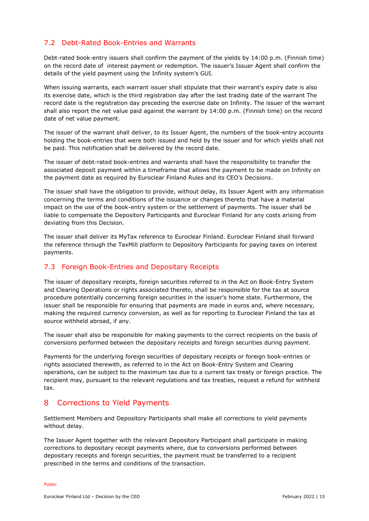### <span id="page-14-0"></span>7.2 Debt-Rated Book-Entries and Warrants

Debt-rated book-entry issuers shall confirm the payment of the yields by 14:00 p.m. (Finnish time) on the record date of interest payment or redemption. The issuer's Issuer Agent shall confirm the details of the yield payment using the Infinity system's GUI.

When issuing warrants, each warrant issuer shall stipulate that their warrant's expiry date is also its exercise date, which is the third registration day after the last trading date of the warrant The record date is the registration day preceding the exercise date on Infinity. The issuer of the warrant shall also report the net value paid against the warrant by 14:00 p.m. (Finnish time) on the record date of net value payment.

The issuer of the warrant shall deliver, to its Issuer Agent, the numbers of the book-entry accounts holding the book-entries that were both issued and held by the issuer and for which yields shall not be paid. This notification shall be delivered by the record date.

The issuer of debt-rated book-entries and warrants shall have the responsibility to transfer the associated deposit payment within a timeframe that allows the payment to be made on Infinity on the payment date as required by Euroclear Finland Rules and its CEO's Decisions.

The issuer shall have the obligation to provide, without delay, its Issuer Agent with any information concerning the terms and conditions of the issuance or changes thereto that have a material impact on the use of the book-entry system or the settlement of payments. The issuer shall be liable to compensate the Depository Participants and Euroclear Finland for any costs arising from deviating from this Decision.

The issuer shall deliver its MyTax reference to Euroclear Finland. Euroclear Finland shall forward the reference through the TaxMill platform to Depository Participants for paying taxes on interest payments.

#### <span id="page-14-1"></span>7.3 Foreign Book-Entries and Depositary Receipts

The issuer of depositary receipts, foreign securities referred to in the Act on Book-Entry System and Clearing Operations or rights associated thereto, shall be responsible for the tax at source procedure potentially concerning foreign securities in the issuer's home state. Furthermore, the issuer shall be responsible for ensuring that payments are made in euros and, where necessary, making the required currency conversion, as well as for reporting to Euroclear Finland the tax at source withheld abroad, if any.

The issuer shall also be responsible for making payments to the correct recipients on the basis of conversions performed between the depositary receipts and foreign securities during payment.

Payments for the underlying foreign securities of depositary receipts or foreign book-entries or rights associated therewith, as referred to in the Act on Book-Entry System and Clearing operations, can be subject to the maximum tax due to a current tax treaty or foreign practice. The recipient may, pursuant to the relevant regulations and tax treaties, request a refund for withheld tax.

### <span id="page-14-2"></span>8 Corrections to Yield Payments

Settlement Members and Depository Participants shall make all corrections to yield payments without delay.

The Issuer Agent together with the relevant Depository Participant shall participate in making corrections to depositary receipt payments where, due to conversions performed between depositary receipts and foreign securities, the payment must be transferred to a recipient prescribed in the terms and conditions of the transaction.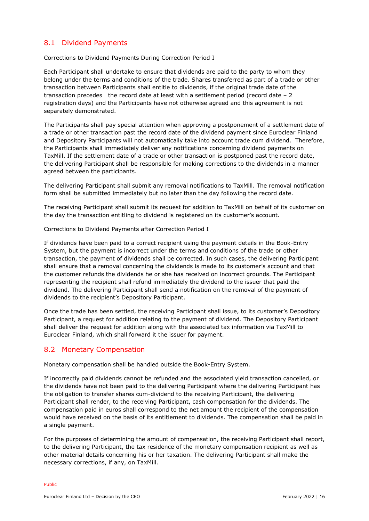#### <span id="page-15-0"></span>8.1 Dividend Payments

Corrections to Dividend Payments During Correction Period I

Each Participant shall undertake to ensure that dividends are paid to the party to whom they belong under the terms and conditions of the trade. Shares transferred as part of a trade or other transaction between Participants shall entitle to dividends, if the original trade date of the transaction precedes the record date at least with a settlement period (record date  $-2$ registration days) and the Participants have not otherwise agreed and this agreement is not separately demonstrated.

The Participants shall pay special attention when approving a postponement of a settlement date of a trade or other transaction past the record date of the dividend payment since Euroclear Finland and Depository Participants will not automatically take into account trade cum dividend. Therefore, the Participants shall immediately deliver any notifications concerning dividend payments on TaxMill. If the settlement date of a trade or other transaction is postponed past the record date, the delivering Participant shall be responsible for making corrections to the dividends in a manner agreed between the participants.

The delivering Participant shall submit any removal notifications to TaxMill. The removal notification form shall be submitted immediately but no later than the day following the record date.

The receiving Participant shall submit its request for addition to TaxMill on behalf of its customer on the day the transaction entitling to dividend is registered on its customer's account.

Corrections to Dividend Payments after Correction Period I

If dividends have been paid to a correct recipient using the payment details in the Book-Entry System, but the payment is incorrect under the terms and conditions of the trade or other transaction, the payment of dividends shall be corrected. In such cases, the delivering Participant shall ensure that a removal concerning the dividends is made to its customer's account and that the customer refunds the dividends he or she has received on incorrect grounds. The Participant representing the recipient shall refund immediately the dividend to the issuer that paid the dividend. The delivering Participant shall send a notification on the removal of the payment of dividends to the recipient's Depository Participant.

Once the trade has been settled, the receiving Participant shall issue, to its customer's Depository Participant, a request for addition relating to the payment of dividend. The Depository Participant shall deliver the request for addition along with the associated tax information via TaxMill to Euroclear Finland, which shall forward it the issuer for payment.

#### <span id="page-15-1"></span>8.2 Monetary Compensation

Monetary compensation shall be handled outside the Book-Entry System.

If incorrectly paid dividends cannot be refunded and the associated yield transaction cancelled, or the dividends have not been paid to the delivering Participant where the delivering Participant has the obligation to transfer shares cum-dividend to the receiving Participant, the delivering Participant shall render, to the receiving Participant, cash compensation for the dividends. The compensation paid in euros shall correspond to the net amount the recipient of the compensation would have received on the basis of its entitlement to dividends. The compensation shall be paid in a single payment.

For the purposes of determining the amount of compensation, the receiving Participant shall report, to the delivering Participant, the tax residence of the monetary compensation recipient as well as other material details concerning his or her taxation. The delivering Participant shall make the necessary corrections, if any, on TaxMill.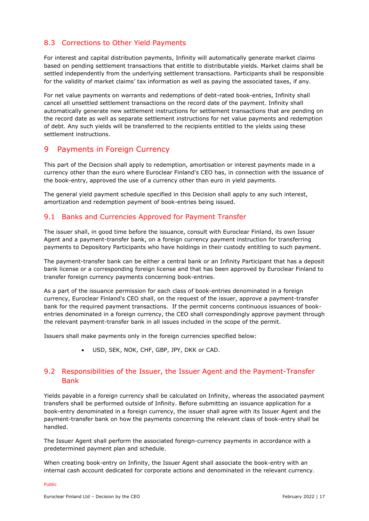### <span id="page-16-0"></span>8.3 Corrections to Other Yield Payments

For interest and capital distribution payments, Infinity will automatically generate market claims based on pending settlement transactions that entitle to distributable yields. Market claims shall be settled independently from the underlying settlement transactions. Participants shall be responsible for the validity of market claims' tax information as well as paying the associated taxes, if any.

For net value payments on warrants and redemptions of debt-rated book-entries, Infinity shall cancel all unsettled settlement transactions on the record date of the payment. Infinity shall automatically generate new settlement instructions for settlement transactions that are pending on the record date as well as separate settlement instructions for net value payments and redemption of debt. Any such yields will be transferred to the recipients entitled to the yields using these settlement instructions.

### <span id="page-16-1"></span>9 Payments in Foreign Currency

This part of the Decision shall apply to redemption, amortisation or interest payments made in a currency other than the euro where Euroclear Finland's CEO has, in connection with the issuance of the book-entry, approved the use of a currency other than euro in yield payments.

The general yield payment schedule specified in this Decision shall apply to any such interest, amortization and redemption payment of book-entries being issued.

#### <span id="page-16-2"></span>9.1 Banks and Currencies Approved for Payment Transfer

The issuer shall, in good time before the issuance, consult with Euroclear Finland, its own Issuer Agent and a payment-transfer bank, on a foreign currency payment instruction for transferring payments to Depository Participants who have holdings in their custody entitling to such payment.

The payment-transfer bank can be either a central bank or an Infinity Participant that has a deposit bank license or a corresponding foreign license and that has been approved by Euroclear Finland to transfer foreign currency payments concerning book-entries.

As a part of the issuance permission for each class of book-entries denominated in a foreign currency, Euroclear Finland's CEO shall, on the request of the issuer, approve a payment-transfer bank for the required payment transactions. If the permit concerns continuous issuances of bookentries denominated in a foreign currency, the CEO shall correspondingly approve payment through the relevant payment-transfer bank in all issues included in the scope of the permit.

Issuers shall make payments only in the foreign currencies specified below:

USD, SEK, NOK, CHF, GBP, JPY, DKK or CAD.

### <span id="page-16-3"></span>9.2 Responsibilities of the Issuer, the Issuer Agent and the Payment-Transfer Bank

Yields payable in a foreign currency shall be calculated on Infinity, whereas the associated payment transfers shall be performed outside of Infinity. Before submitting an issuance application for a book-entry denominated in a foreign currency, the issuer shall agree with its Issuer Agent and the payment-transfer bank on how the payments concerning the relevant class of book-entry shall be handled.

The Issuer Agent shall perform the associated foreign-currency payments in accordance with a predetermined payment plan and schedule.

When creating book-entry on Infinity, the Issuer Agent shall associate the book-entry with an internal cash account dedicated for corporate actions and denominated in the relevant currency.

Public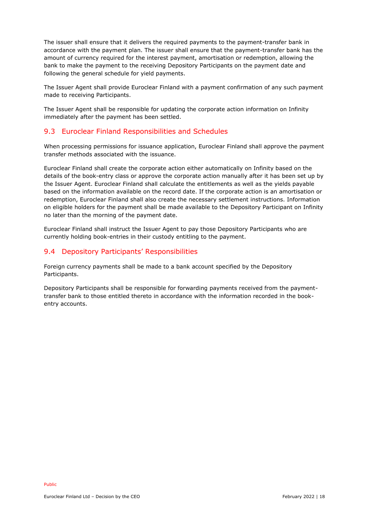The issuer shall ensure that it delivers the required payments to the payment-transfer bank in accordance with the payment plan. The issuer shall ensure that the payment-transfer bank has the amount of currency required for the interest payment, amortisation or redemption, allowing the bank to make the payment to the receiving Depository Participants on the payment date and following the general schedule for yield payments.

The Issuer Agent shall provide Euroclear Finland with a payment confirmation of any such payment made to receiving Participants.

The Issuer Agent shall be responsible for updating the corporate action information on Infinity immediately after the payment has been settled.

#### <span id="page-17-0"></span>9.3 Euroclear Finland Responsibilities and Schedules

When processing permissions for issuance application, Euroclear Finland shall approve the payment transfer methods associated with the issuance.

Euroclear Finland shall create the corporate action either automatically on Infinity based on the details of the book-entry class or approve the corporate action manually after it has been set up by the Issuer Agent. Euroclear Finland shall calculate the entitlements as well as the yields payable based on the information available on the record date. If the corporate action is an amortisation or redemption, Euroclear Finland shall also create the necessary settlement instructions. Information on eligible holders for the payment shall be made available to the Depository Participant on Infinity no later than the morning of the payment date.

Euroclear Finland shall instruct the Issuer Agent to pay those Depository Participants who are currently holding book-entries in their custody entitling to the payment.

#### <span id="page-17-1"></span>9.4 Depository Participants' Responsibilities

Foreign currency payments shall be made to a bank account specified by the Depository Participants.

Depository Participants shall be responsible for forwarding payments received from the paymenttransfer bank to those entitled thereto in accordance with the information recorded in the bookentry accounts.